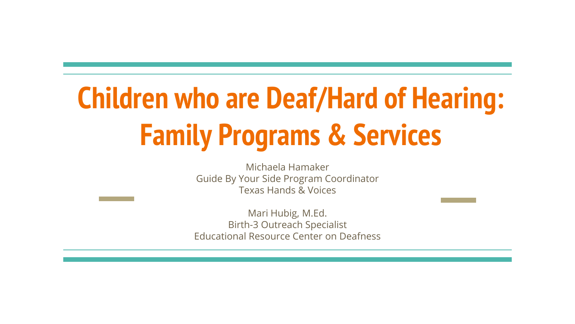# **Children who are Deaf/Hard of Hearing: Family Programs & Services**

Michaela Hamaker Guide By Your Side Program Coordinator Texas Hands & Voices

Mari Hubig, M.Ed. Birth-3 Outreach Specialist Educational Resource Center on Deafness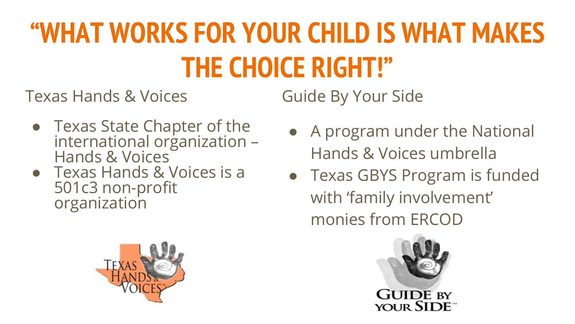# **"WHAT WORKS FOR YOUR CHILD IS WHAT MAKES THE CHOICE RIGHT!"**

Texas Hands & Voices

Guide By Your Side

- Texas State Chapter of the international orġanization –<br>Hands & Voices
- Texas Hands & Voices is a 501c3 non-profit organization



- A program under the National Hands & Voices umbrella
- Texas GBYS Program is funded with 'family involvement' monies from ERCOD

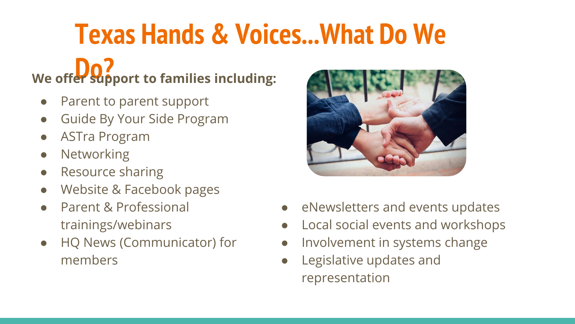### **Texas Hands & Voices...What Do We**

# **We offer support to families including:**

- Parent to parent support
- Guide By Your Side Program
- ASTra Program
- Networking
- Resource sharing
- Website & Facebook pages
- Parent & Professional trainings/webinars
- HQ News (Communicator) for members



- eNewsletters and events updates
- Local social events and workshops
- Involvement in systems change
- Legislative updates and representation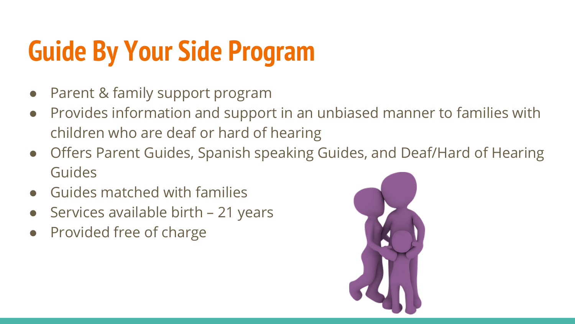# **Guide By Your Side Program**

- Parent & family support program
- Provides information and support in an unbiased manner to families with children who are deaf or hard of hearing
- Offers Parent Guides, Spanish speaking Guides, and Deaf/Hard of Hearing Guides
- Guides matched with families
- Services available birth 21 years
- **Provided free of charge**

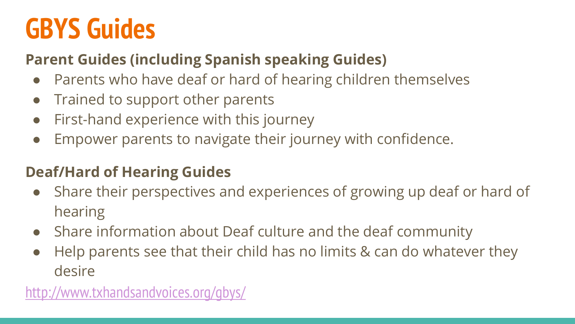### **GBYS Guides**

#### **Parent Guides (including Spanish speaking Guides)**

- Parents who have deaf or hard of hearing children themselves
- Trained to support other parents
- First-hand experience with this journey
- Empower parents to navigate their journey with confidence.

#### **Deaf/Hard of Hearing Guides**

- Share their perspectives and experiences of growing up deaf or hard of hearing
- Share information about Deaf culture and the deaf community
- Help parents see that their child has no limits & can do whatever they desire

<http://www.txhandsandvoices.org/gbys/>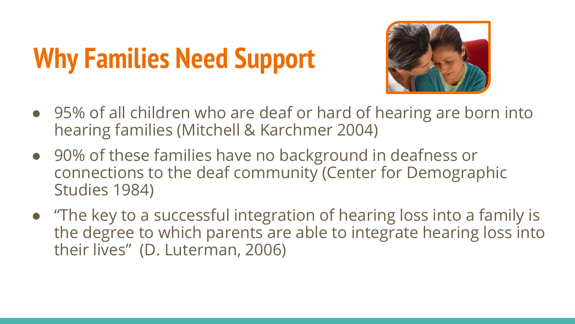# **Why Families Need Support**



- 95% of all children who are deaf or hard of hearing are born into hearing families (Mitchell & Karchmer 2004)
- 90% of these families have no background in deafness or connections to the deaf community (Center for Demographic Studies 1984)
- "The key to a successful integration of hearing loss into a family is the degree to which parents are able to integrate hearing loss into their lives" (D. Luterman, 2006)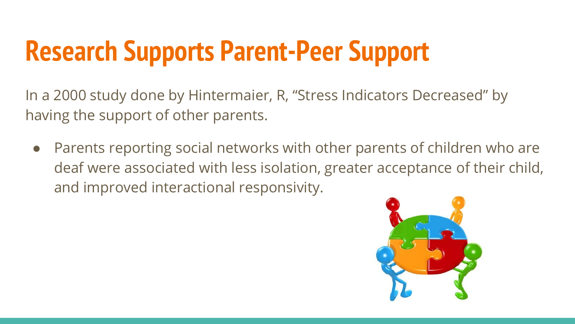# **Research Supports Parent-Peer Support**

In a 2000 study done by Hintermaier, R, "Stress Indicators Decreased" by having the support of other parents.

• Parents reporting social networks with other parents of children who are deaf were associated with less isolation, greater acceptance of their child, and improved interactional responsivity.

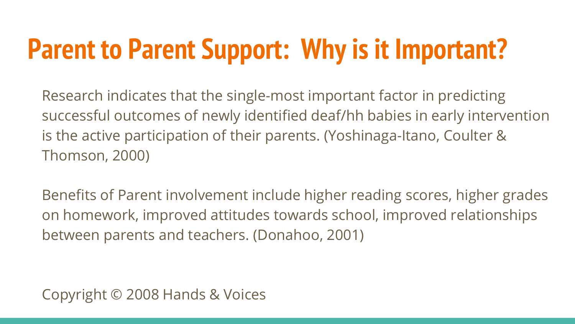# **Parent to Parent Support: Why is it Important?**

Research indicates that the single-most important factor in predicting successful outcomes of newly identified deaf/hh babies in early intervention is the active participation of their parents. (Yoshinaga-Itano, Coulter & Thomson, 2000)

Benefits of Parent involvement include higher reading scores, higher grades on homework, improved attitudes towards school, improved relationships between parents and teachers. (Donahoo, 2001)

Copyright © 2008 Hands & Voices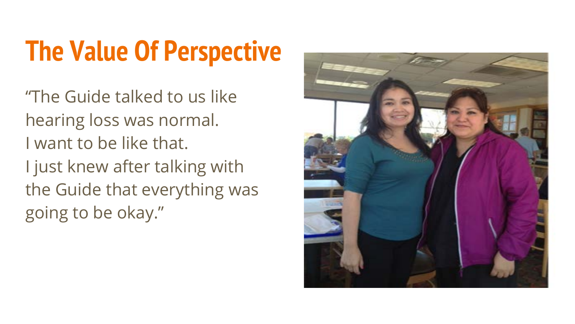## **The Value Of Perspective**

"The Guide talked to us like hearing loss was normal. I want to be like that. I just knew after talking with the Guide that everything was going to be okay."

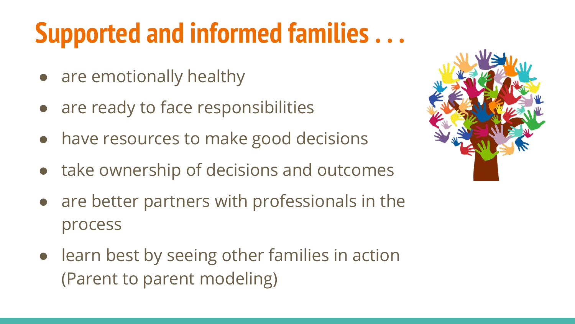# **Supported and informed families . . .**

- are emotionally healthy
- are ready to face responsibilities
- have resources to make good decisions
- take ownership of decisions and outcomes
- are better partners with professionals in the process
- learn best by seeing other families in action (Parent to parent modeling)

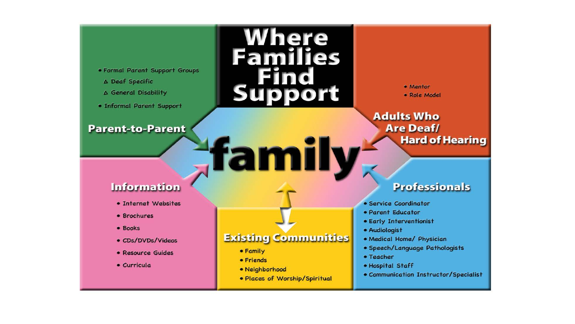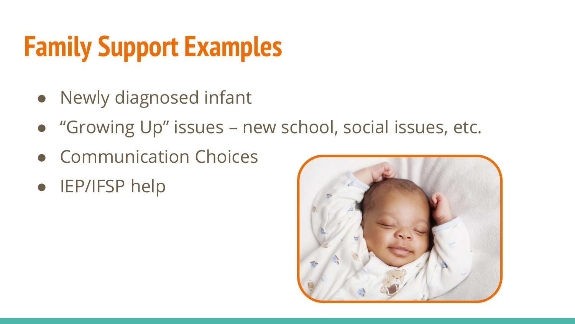# **Family Support Examples**

- Newly diagnosed infant
- "Growing Up" issues new school, social issues, etc.
- Communication Choices
- IEP/IFSP help

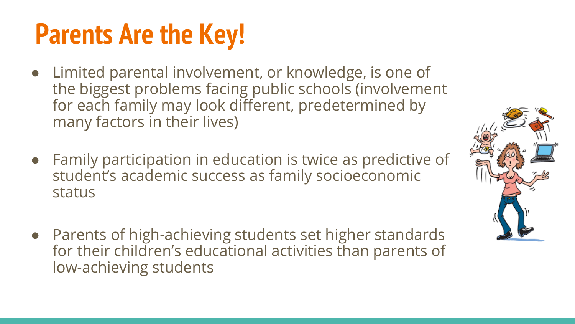## **Parents Are the Key!**

- Limited parental involvement, or knowledge, is one of the biggest problems facing public schools (involvement for each family may look different, predetermined by many factors in their lives)
- Family participation in education is twice as predictive of student's academic success as family socioeconomic status
- Parents of high-achieving students set higher standards for their children's educational activities than parents of low-achieving students

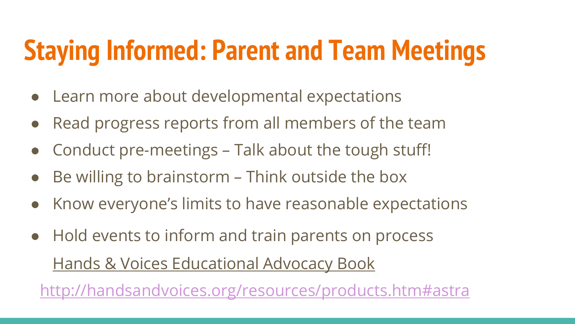# **Staying Informed: Parent and Team Meetings**

- Learn more about developmental expectations
- Read progress reports from all members of the team
- Conduct pre-meetings Talk about the tough stuff!
- Be willing to brainstorm Think outside the box
- Know everyone's limits to have reasonable expectations
- Hold events to inform and train parents on process Hands & Voices Educational Advocacy Book

<http://handsandvoices.org/resources/products.htm#astra>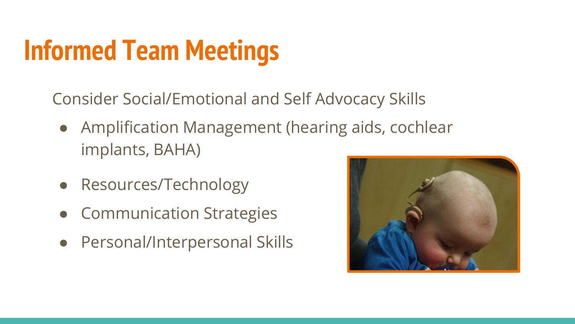# **Informed Team Meetings**

Consider Social/Emotional and Self Advocacy Skills

- Amplification Management (hearing aids, cochlear implants, BAHA)
- Resources/Technology
- **Communication Strategies**
- Personal/Interpersonal Skills

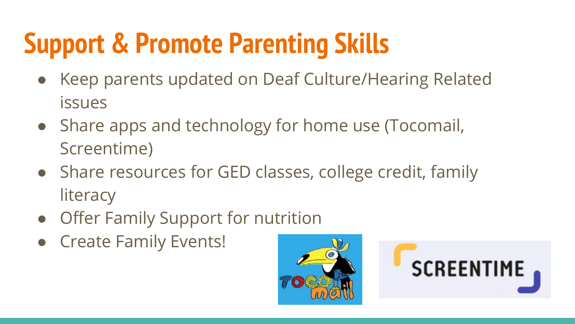# **Support & Promote Parenting Skills**

- Keep parents updated on Deaf Culture/Hearing Related issues
- Share apps and technology for home use (Tocomail, Screentime)
- Share resources for GED classes, college credit, family **literacy**
- Offer Family Support for nutrition
- Create Family Events!



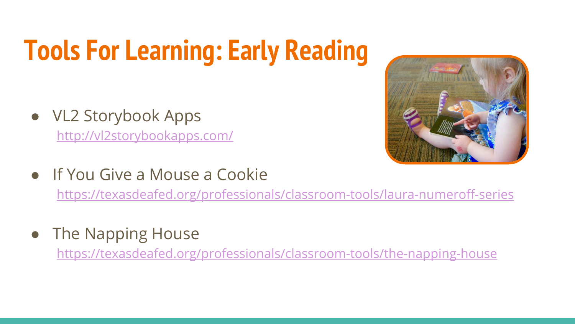# **Tools For Learning: Early Reading**

- VL2 Storybook Apps <http://vl2storybookapps.com/>
- If You Give a Mouse a Cookie

<https://texasdeafed.org/professionals/classroom-tools/laura-numeroff-series>

The Napping House

<https://texasdeafed.org/professionals/classroom-tools/the-napping-house>

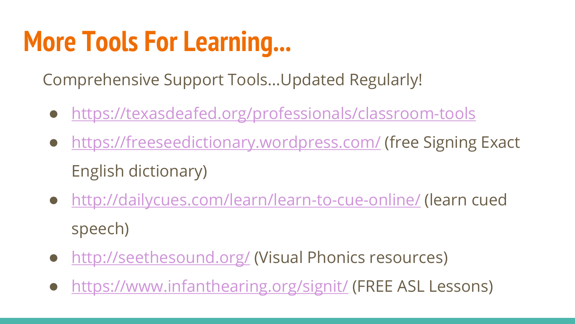### **More Tools For Learning...**

Comprehensive Support Tools...Updated Regularly!

- <https://texasdeafed.org/professionals/classroom-tools>
- <https://freeseedictionary.wordpress.com/> (free Signing Exact English dictionary)
- <http://dailycues.com/learn/learn-to-cue-online/> (learn cued speech)
- <http://seethesound.org/> (Visual Phonics resources)
- <https://www.infanthearing.org/signit/> (FREE ASL Lessons)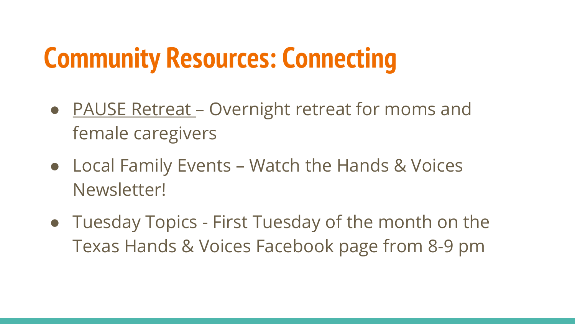# **Community Resources: Connecting**

- PAUSE Retreat Overnight retreat for moms and female caregivers
- Local Family Events Watch the Hands & Voices Newsletter!
- Tuesday Topics First Tuesday of the month on the Texas Hands & Voices Facebook page from 8-9 pm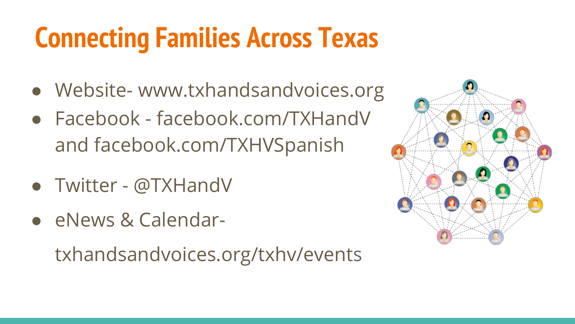## **Connecting Families Across Texas**

- Website- www.txhandsandvoices.org
- Facebook facebook.com/TXHandV and facebook.com/TXHVSpanish
- Twitter @TXHandV
- eNews & Calendar-

txhandsandvoices.org/txhv/events

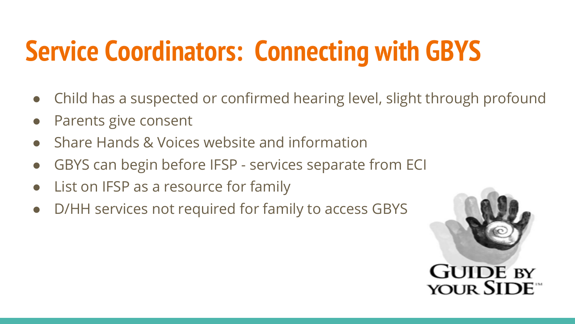# **Service Coordinators: Connecting with GBYS**

- Child has a suspected or confirmed hearing level, slight through profound
- Parents give consent
- Share Hands & Voices website and information
- GBYS can begin before IFSP services separate from ECI
- List on IFSP as a resource for family
- D/HH services not required for family to access GBYS

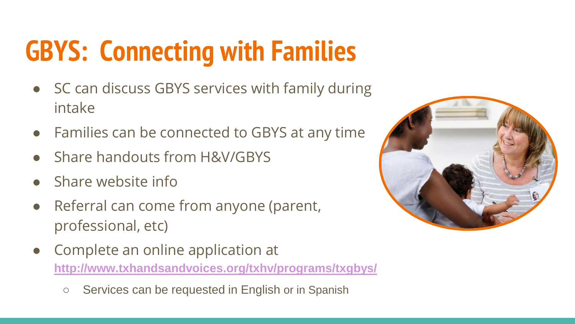# **GBYS: Connecting with Families**

- SC can discuss GBYS services with family during intake
- Families can be connected to GBYS at any time
- **Share handouts from H&V/GBYS**
- Share website info
- Referral can come from anyone (parent, professional, etc)
- Complete an online application at **<http://www.txhandsandvoices.org/txhv/programs/txgbys/>**
	- Services can be requested in English or in Spanish

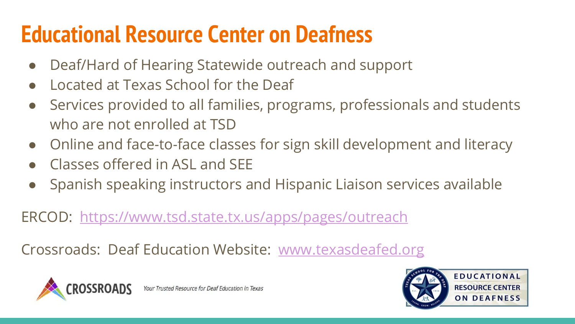#### **Educational Resource Center on Deafness**

- Deaf/Hard of Hearing Statewide outreach and support
- Located at Texas School for the Deaf
- Services provided to all families, programs, professionals and students who are not enrolled at TSD
- Online and face-to-face classes for sign skill development and literacy
- Classes offered in ASL and SFF
- Spanish speaking instructors and Hispanic Liaison services available

ERCOD: <https://www.tsd.state.tx.us/apps/pages/outreach>

Crossroads: Deaf Education Website: [www.texasdeafed.org](http://www.texasdeafed.org)



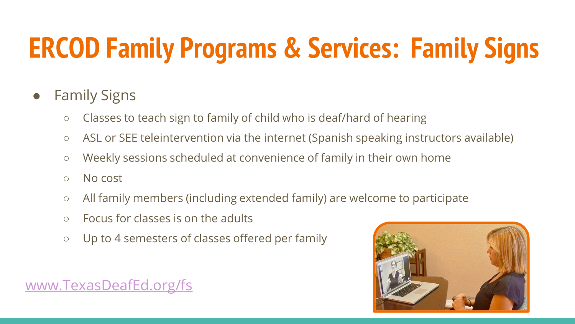# **ERCOD Family Programs & Services: Family Signs**

#### ● Family Signs

- Classes to teach sign to family of child who is deaf/hard of hearing
- ASL or SEE teleintervention via the internet (Spanish speaking instructors available)
- Weekly sessions scheduled at convenience of family in their own home
- No cost
- All family members (including extended family) are welcome to participate
- Focus for classes is on the adults
- Up to 4 semesters of classes offered per family



#### [www.TexasDeafEd.org/fs](http://www.texasdeafed.org/fs)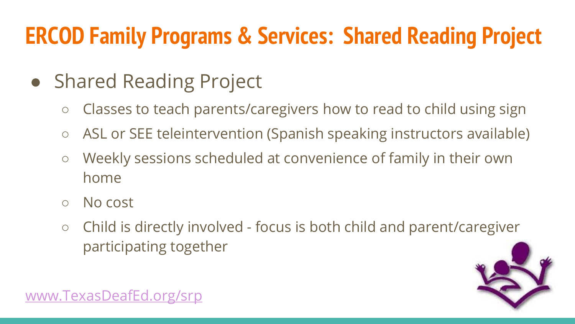#### **ERCOD Family Programs & Services: Shared Reading Project**

- Shared Reading Project
	- Classes to teach parents/caregivers how to read to child using sign
	- ASL or SEE teleintervention (Spanish speaking instructors available)
	- Weekly sessions scheduled at convenience of family in their own home
	- No cost
	- Child is directly involved focus is both child and parent/caregiver participating together



[www.TexasDeafEd.org/srp](http://www.texasdeafed.org/srp)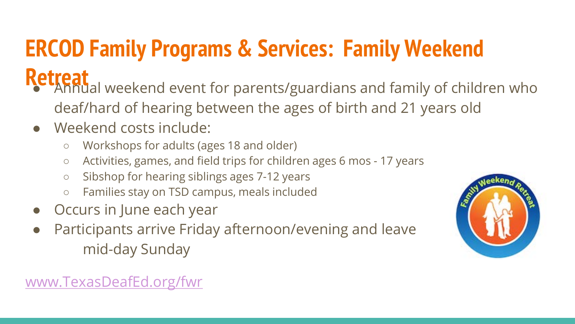## **ERCOD Family Programs & Services: Family Weekend**

- **Retreat**<br>
<sup>●</sup> Annual weekend event for parents/guardians and family of children who deaf/hard of hearing between the ages of birth and 21 years old
	- Weekend costs include:
		- Workshops for adults (ages 18 and older)
		- Activities, games, and field trips for children ages 6 mos 17 years
		- Sibshop for hearing siblings ages 7-12 years
		- Families stay on TSD campus, meals included
	- Occurs in June each year
	- Participants arrive Friday afternoon/evening and leave mid-day Sunday



#### [www.TexasDeafEd.org/fwr](http://www.texasdeafed.org/fwr)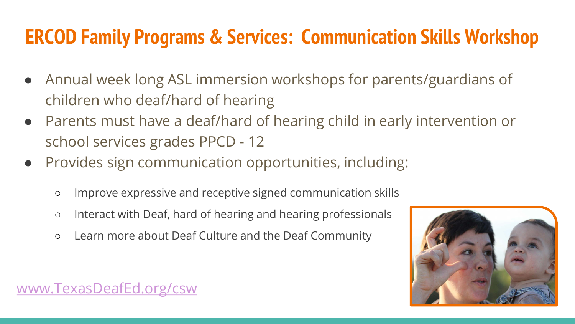#### **ERCOD Family Programs & Services: Communication Skills Workshop**

- Annual week long ASL immersion workshops for parents/guardians of children who deaf/hard of hearing
- Parents must have a deaf/hard of hearing child in early intervention or school services grades PPCD - 12
- Provides sign communication opportunities, including:
	- Improve expressive and receptive signed communication skills
	- Interact with Deaf, hard of hearing and hearing professionals
	- Learn more about Deaf Culture and the Deaf Community



#### [www.TexasDeafEd.org/csw](http://www.texasdeafed.org/csw)